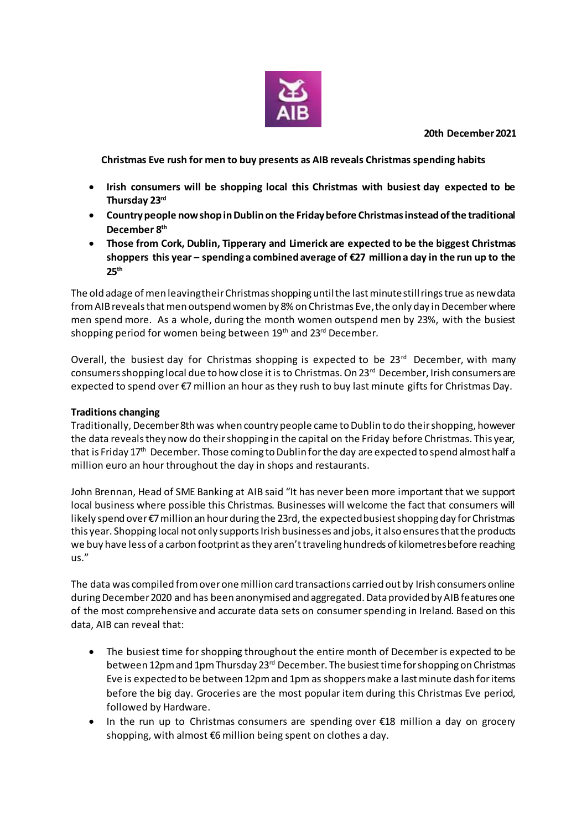

**20th December 2021**

**Christmas Eve rush for men to buy presents as AIB reveals Christmas spending habits**

- **Irish consumers will be shopping local this Christmas with busiest day expected to be Thursday 23rd**
- **Country people now shop in Dublin on the Friday before Christmas instead of the traditional December 8th**
- **Those from Cork, Dublin, Tipperary and Limerick are expected to be the biggest Christmas**  shoppers this year – spending a combined average of  $E$ 7 million a day in the run up to the **25th**

The old adage of men leaving their Christmas shopping until the last minute still rings true as new data fromAIB reveals that men outspend women by 8% on Christmas Eve, the only day in December where men spend more. As a whole, during the month women outspend men by 23%, with the busiest shopping period for women being between 19<sup>th</sup> and 23<sup>rd</sup> December.

Overall, the busiest day for Christmas shopping is expected to be  $23<sup>rd</sup>$  December, with many consumers shopping local due to how close it is to Christmas. On 23<sup>rd</sup> December, Irish consumers are expected to spend over €7 million an hour as they rush to buy last minute gifts for Christmas Day.

## **Traditions changing**

Traditionally, December 8th was when country people came to Dublin to do their shopping, however the data reveals they now do their shopping in the capital on the Friday before Christmas. This year, that is Friday 17<sup>th</sup> December. Those coming to Dublin for the day are expected to spend almost half a million euro an hour throughout the day in shops and restaurants.

John Brennan, Head of SME Banking at AIB said "It has never been more important that we support local business where possible this Christmas. Businesses will welcome the fact that consumers will likely spend over €7 million an hour during the 23rd, the expected busiest shopping day for Christmas this year. Shopping local not only supports Irish businesses and jobs, it also ensures that the products we buy have less of a carbon footprint as they aren't traveling hundreds of kilometres before reaching us."

The data was compiled from over one million card transactions carried out by Irish consumers online during December 2020 and has been anonymised and aggregated. Data provided by AIB features one of the most comprehensive and accurate data sets on consumer spending in Ireland. Based on this data, AIB can reveal that:

- The busiest time for shopping throughout the entire month of December is expected to be between 12pm and 1pm Thursday 23<sup>rd</sup> December. The busiest time for shopping on Christmas Eve is expected to be between 12pm and 1pm as shoppers make a last minute dash for items before the big day. Groceries are the most popular item during this Christmas Eve period, followed by Hardware.
- In the run up to Christmas consumers are spending over €18 million a day on grocery shopping, with almost €6 million being spent on clothes a day.